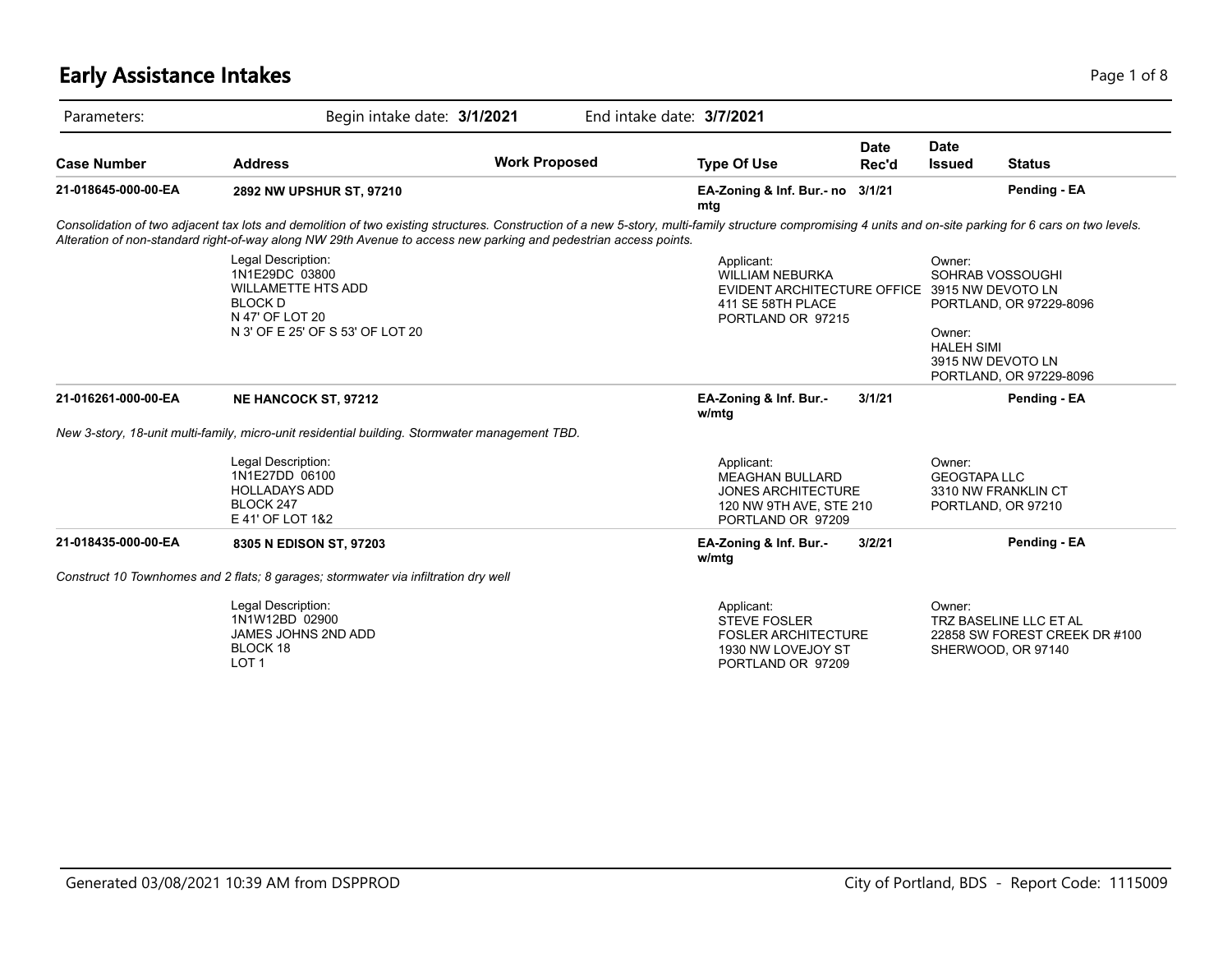# **Early Assistance Intakes** Page 1 of 8

| Parameters:         | Begin intake date: 3/1/2021                                                                                                                                                                                                                                                                                                    |                      | End intake date: 3/7/2021                                                                                                       |               |                                                                                |                                                                               |
|---------------------|--------------------------------------------------------------------------------------------------------------------------------------------------------------------------------------------------------------------------------------------------------------------------------------------------------------------------------|----------------------|---------------------------------------------------------------------------------------------------------------------------------|---------------|--------------------------------------------------------------------------------|-------------------------------------------------------------------------------|
| <b>Case Number</b>  | <b>Address</b>                                                                                                                                                                                                                                                                                                                 | <b>Work Proposed</b> | <b>Type Of Use</b>                                                                                                              | Date<br>Rec'd | <b>Date</b><br><b>Issued</b>                                                   | <b>Status</b>                                                                 |
| 21-018645-000-00-EA | 2892 NW UPSHUR ST, 97210                                                                                                                                                                                                                                                                                                       |                      | EA-Zoning & Inf. Bur.- no 3/1/21<br>mtg                                                                                         |               |                                                                                | Pending - EA                                                                  |
|                     | Consolidation of two adjacent tax lots and demolition of two existing structures. Construction of a new 5-story, multi-family structure compromising 4 units and on-site parking for 6 cars on two levels.<br>Alteration of non-standard right-of-way along NW 29th Avenue to access new parking and pedestrian access points. |                      |                                                                                                                                 |               |                                                                                |                                                                               |
|                     | Legal Description:<br>1N1E29DC 03800<br><b>WILLAMETTE HTS ADD</b><br><b>BLOCK D</b><br>N 47' OF LOT 20<br>N 3' OF E 25' OF S 53' OF LOT 20                                                                                                                                                                                     |                      | Applicant:<br><b>WILLIAM NEBURKA</b><br>EVIDENT ARCHITECTURE OFFICE 3915 NW DEVOTO LN<br>411 SE 58TH PLACE<br>PORTLAND OR 97215 |               | Owner:<br>SOHRAB VOSSOUGHI<br>Owner:<br><b>HALEH SIMI</b><br>3915 NW DEVOTO LN | PORTLAND, OR 97229-8096<br>PORTLAND, OR 97229-8096                            |
| 21-016261-000-00-EA | <b>NE HANCOCK ST, 97212</b>                                                                                                                                                                                                                                                                                                    |                      | EA-Zoning & Inf. Bur.-<br>w/mtg                                                                                                 | 3/1/21        |                                                                                | Pending - EA                                                                  |
|                     | New 3-story, 18-unit multi-family, micro-unit residential building. Stormwater management TBD.                                                                                                                                                                                                                                 |                      |                                                                                                                                 |               |                                                                                |                                                                               |
|                     | Legal Description:<br>1N1E27DD 06100<br><b>HOLLADAYS ADD</b><br>BLOCK 247<br>E 41' OF LOT 1&2                                                                                                                                                                                                                                  |                      | Applicant:<br><b>MEAGHAN BULLARD</b><br><b>JONES ARCHITECTURE</b><br>120 NW 9TH AVE, STE 210<br>PORTLAND OR 97209               |               | Owner:<br><b>GEOGTAPA LLC</b><br>3310 NW FRANKLIN CT<br>PORTLAND, OR 97210     |                                                                               |
| 21-018435-000-00-EA | 8305 N EDISON ST, 97203                                                                                                                                                                                                                                                                                                        |                      | EA-Zoning & Inf. Bur.-<br>w/mtg                                                                                                 | 3/2/21        |                                                                                | Pending - EA                                                                  |
|                     | Construct 10 Townhomes and 2 flats; 8 garages; stormwater via infiltration dry well                                                                                                                                                                                                                                            |                      |                                                                                                                                 |               |                                                                                |                                                                               |
|                     | Legal Description:<br>1N1W12BD 02900<br>JAMES JOHNS 2ND ADD<br>BLOCK 18<br>LOT <sub>1</sub>                                                                                                                                                                                                                                    |                      | Applicant:<br><b>STEVE FOSLER</b><br><b>FOSLER ARCHITECTURE</b><br>1930 NW LOVEJOY ST<br>PORTLAND OR 97209                      |               | Owner:                                                                         | TRZ BASELINE LLC ET AL<br>22858 SW FOREST CREEK DR #100<br>SHERWOOD, OR 97140 |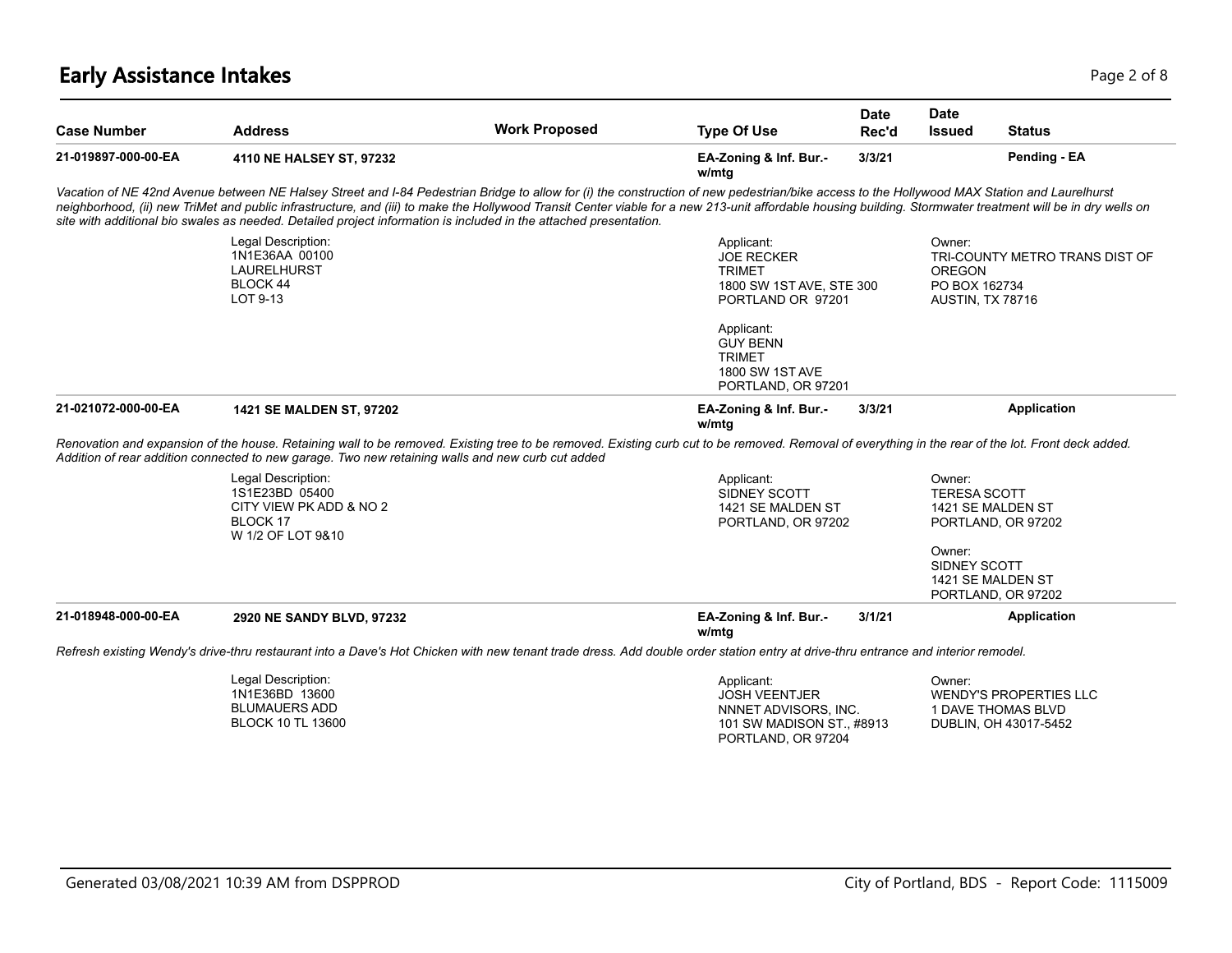# **Early Assistance Intakes** Page 2 of 8

| <b>Address</b>                                                                            | <b>Work Proposed</b> | <b>Type Of Use</b>                                                                                | <b>Date</b><br>Rec'd                                                                                              | Date<br><b>Issued</b>                                                                     | <b>Status</b>                                                                                                                                                                                                                                                                                                                                                                                                                                                                                                                                                                                                                                                                                                                                                                                                                                                                     |
|-------------------------------------------------------------------------------------------|----------------------|---------------------------------------------------------------------------------------------------|-------------------------------------------------------------------------------------------------------------------|-------------------------------------------------------------------------------------------|-----------------------------------------------------------------------------------------------------------------------------------------------------------------------------------------------------------------------------------------------------------------------------------------------------------------------------------------------------------------------------------------------------------------------------------------------------------------------------------------------------------------------------------------------------------------------------------------------------------------------------------------------------------------------------------------------------------------------------------------------------------------------------------------------------------------------------------------------------------------------------------|
| 4110 NE HALSEY ST, 97232                                                                  |                      | EA-Zoning & Inf. Bur.-<br>w/mtg                                                                   | 3/3/21                                                                                                            |                                                                                           | Pending - EA                                                                                                                                                                                                                                                                                                                                                                                                                                                                                                                                                                                                                                                                                                                                                                                                                                                                      |
|                                                                                           |                      |                                                                                                   |                                                                                                                   |                                                                                           |                                                                                                                                                                                                                                                                                                                                                                                                                                                                                                                                                                                                                                                                                                                                                                                                                                                                                   |
| Legal Description:<br>1N1E36AA 00100<br><b>LAURELHURST</b><br><b>BLOCK 44</b><br>LOT 9-13 |                      | Applicant:<br><b>JOE RECKER</b><br><b>TRIMET</b>                                                  |                                                                                                                   | Owner:<br><b>OREGON</b>                                                                   | TRI-COUNTY METRO TRANS DIST OF                                                                                                                                                                                                                                                                                                                                                                                                                                                                                                                                                                                                                                                                                                                                                                                                                                                    |
|                                                                                           |                      | Applicant:<br><b>GUY BENN</b><br><b>TRIMET</b><br><b>1800 SW 1ST AVE</b>                          |                                                                                                                   |                                                                                           |                                                                                                                                                                                                                                                                                                                                                                                                                                                                                                                                                                                                                                                                                                                                                                                                                                                                                   |
| 1421 SE MALDEN ST, 97202                                                                  |                      | EA-Zoning & Inf. Bur.-<br>w/mta                                                                   | 3/3/21                                                                                                            |                                                                                           | <b>Application</b>                                                                                                                                                                                                                                                                                                                                                                                                                                                                                                                                                                                                                                                                                                                                                                                                                                                                |
|                                                                                           |                      |                                                                                                   |                                                                                                                   |                                                                                           |                                                                                                                                                                                                                                                                                                                                                                                                                                                                                                                                                                                                                                                                                                                                                                                                                                                                                   |
| Legal Description:<br>1S1E23BD 05400<br>CITY VIEW PK ADD & NO 2<br>BLOCK 17               |                      | Applicant:<br>SIDNEY SCOTT<br>1421 SE MALDEN ST                                                   |                                                                                                                   | Owner:                                                                                    | 1421 SE MALDEN ST<br>PORTLAND, OR 97202                                                                                                                                                                                                                                                                                                                                                                                                                                                                                                                                                                                                                                                                                                                                                                                                                                           |
|                                                                                           |                      |                                                                                                   |                                                                                                                   | Owner:                                                                                    | 1421 SE MALDEN ST<br>PORTLAND, OR 97202                                                                                                                                                                                                                                                                                                                                                                                                                                                                                                                                                                                                                                                                                                                                                                                                                                           |
| 2920 NE SANDY BLVD, 97232                                                                 |                      | EA-Zoning & Inf. Bur.-<br>w/mtg                                                                   | 3/1/21                                                                                                            |                                                                                           | Application                                                                                                                                                                                                                                                                                                                                                                                                                                                                                                                                                                                                                                                                                                                                                                                                                                                                       |
|                                                                                           |                      |                                                                                                   |                                                                                                                   |                                                                                           |                                                                                                                                                                                                                                                                                                                                                                                                                                                                                                                                                                                                                                                                                                                                                                                                                                                                                   |
| Legal Description:<br>1N1E36BD 13600                                                      |                      | Applicant:<br><b>JOSH VEENTJER</b>                                                                |                                                                                                                   | Owner:                                                                                    | <b>WENDY'S PROPERTIES LLC</b>                                                                                                                                                                                                                                                                                                                                                                                                                                                                                                                                                                                                                                                                                                                                                                                                                                                     |
|                                                                                           | W 1/2 OF LOT 9&10    | Addition of rear addition connected to new garage. Two new retaining walls and new curb cut added | site with additional bio swales as needed. Detailed project information is included in the attached presentation. | 1800 SW 1ST AVE, STE 300<br>PORTLAND OR 97201<br>PORTLAND, OR 97201<br>PORTLAND, OR 97202 | Vacation of NE 42nd Avenue between NE Halsey Street and I-84 Pedestrian Bridge to allow for (i) the construction of new pedestrian/bike access to the Hollywood MAX Station and Laurelhurst<br>neighborhood, (ii) new TriMet and public infrastructure, and (iii) to make the Hollywood Transit Center viable for a new 213-unit affordable housing building. Stormwater treatment will be in dry wells on<br>PO BOX 162734<br>AUSTIN, TX 78716<br>Renovation and expansion of the house. Retaining wall to be removed. Existing tree to be removed. Existing curb cut to be removed. Removal of everything in the rear of the lot. Front deck added.<br><b>TERESA SCOTT</b><br>SIDNEY SCOTT<br>Refresh existing Wendy's drive-thru restaurant into a Dave's Hot Chicken with new tenant trade dress. Add double order station entry at drive-thru entrance and interior remodel. |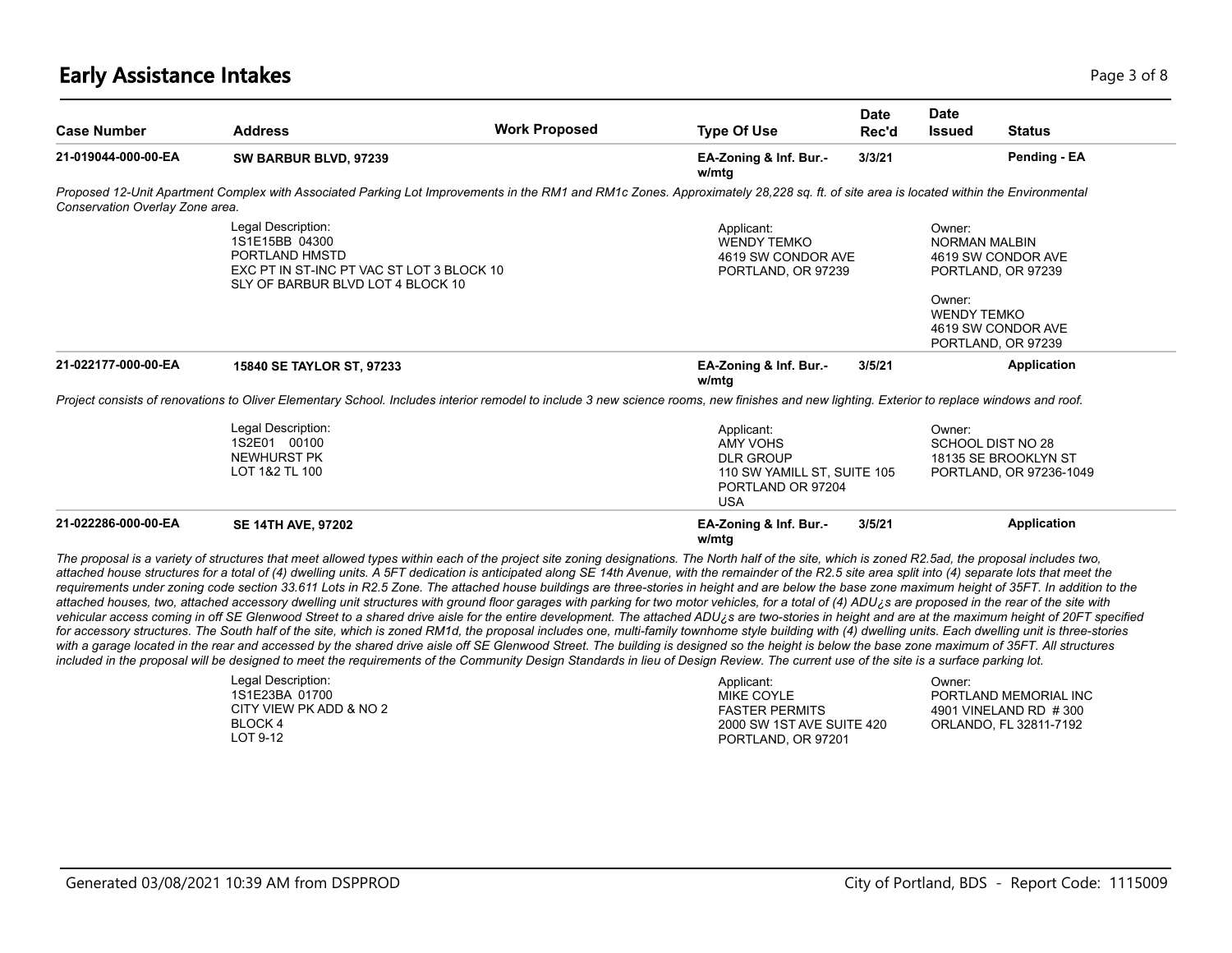# **Early Assistance Intakes** Page 1 of 8 and 2 and 2 and 2 and 2 and 2 and 2 and 2 and 2 and 2 and 2 and 2 and 2 and 2 and 2 and 2 and 2 and 2 and 2 and 2 and 2 and 2 and 2 and 2 and 2 and 2 and 2 and 2 and 2 and 2 and 2 and

| <b>Case Number</b>              | <b>Address</b>                                                                                                                           | <b>Work Proposed</b>                                                                                                                                                                                                                                                                                                                                                                                                                                                                                                                                                                                                                                                                                                                                                                                                                                                                                                                                                                                                                                                                                                                                                                                                                                                                                                                                                                                                                                                                                                                                                                                                               | <b>Type Of Use</b>                                                                                                  | <b>Date</b><br>Rec'd | <b>Date</b><br><b>Issued</b>   | <b>Status</b>                                                            |
|---------------------------------|------------------------------------------------------------------------------------------------------------------------------------------|------------------------------------------------------------------------------------------------------------------------------------------------------------------------------------------------------------------------------------------------------------------------------------------------------------------------------------------------------------------------------------------------------------------------------------------------------------------------------------------------------------------------------------------------------------------------------------------------------------------------------------------------------------------------------------------------------------------------------------------------------------------------------------------------------------------------------------------------------------------------------------------------------------------------------------------------------------------------------------------------------------------------------------------------------------------------------------------------------------------------------------------------------------------------------------------------------------------------------------------------------------------------------------------------------------------------------------------------------------------------------------------------------------------------------------------------------------------------------------------------------------------------------------------------------------------------------------------------------------------------------------|---------------------------------------------------------------------------------------------------------------------|----------------------|--------------------------------|--------------------------------------------------------------------------|
| 21-019044-000-00-EA             | SW BARBUR BLVD, 97239                                                                                                                    |                                                                                                                                                                                                                                                                                                                                                                                                                                                                                                                                                                                                                                                                                                                                                                                                                                                                                                                                                                                                                                                                                                                                                                                                                                                                                                                                                                                                                                                                                                                                                                                                                                    | EA-Zoning & Inf. Bur.-<br>w/mtg                                                                                     | 3/3/21               |                                | Pending - EA                                                             |
| Conservation Overlay Zone area. |                                                                                                                                          | Proposed 12-Unit Apartment Complex with Associated Parking Lot Improvements in the RM1 and RM1c Zones. Approximately 28,228 sq. ft. of site area is located within the Environmental                                                                                                                                                                                                                                                                                                                                                                                                                                                                                                                                                                                                                                                                                                                                                                                                                                                                                                                                                                                                                                                                                                                                                                                                                                                                                                                                                                                                                                               |                                                                                                                     |                      |                                |                                                                          |
|                                 | Legal Description:<br>1S1E15BB 04300<br>PORTLAND HMSTD<br>EXC PT IN ST-INC PT VAC ST LOT 3 BLOCK 10<br>SLY OF BARBUR BLVD LOT 4 BLOCK 10 |                                                                                                                                                                                                                                                                                                                                                                                                                                                                                                                                                                                                                                                                                                                                                                                                                                                                                                                                                                                                                                                                                                                                                                                                                                                                                                                                                                                                                                                                                                                                                                                                                                    | Applicant:<br><b>WENDY TEMKO</b><br>4619 SW CONDOR AVE<br>PORTLAND, OR 97239                                        |                      | Owner:<br><b>NORMAN MALBIN</b> | 4619 SW CONDOR AVE<br>PORTLAND, OR 97239                                 |
|                                 |                                                                                                                                          |                                                                                                                                                                                                                                                                                                                                                                                                                                                                                                                                                                                                                                                                                                                                                                                                                                                                                                                                                                                                                                                                                                                                                                                                                                                                                                                                                                                                                                                                                                                                                                                                                                    |                                                                                                                     |                      | Owner:<br><b>WENDY TEMKO</b>   | 4619 SW CONDOR AVE<br>PORTLAND, OR 97239                                 |
| 21-022177-000-00-EA             | 15840 SE TAYLOR ST, 97233                                                                                                                |                                                                                                                                                                                                                                                                                                                                                                                                                                                                                                                                                                                                                                                                                                                                                                                                                                                                                                                                                                                                                                                                                                                                                                                                                                                                                                                                                                                                                                                                                                                                                                                                                                    | EA-Zoning & Inf. Bur.-<br>w/mtg                                                                                     | 3/5/21               |                                | <b>Application</b>                                                       |
|                                 |                                                                                                                                          | Project consists of renovations to Oliver Elementary School. Includes interior remodel to include 3 new science rooms, new finishes and new lighting. Exterior to replace windows and roof.                                                                                                                                                                                                                                                                                                                                                                                                                                                                                                                                                                                                                                                                                                                                                                                                                                                                                                                                                                                                                                                                                                                                                                                                                                                                                                                                                                                                                                        |                                                                                                                     |                      |                                |                                                                          |
|                                 | Legal Description:<br>1S2E01 00100<br><b>NEWHURST PK</b><br>LOT 1&2 TL 100                                                               |                                                                                                                                                                                                                                                                                                                                                                                                                                                                                                                                                                                                                                                                                                                                                                                                                                                                                                                                                                                                                                                                                                                                                                                                                                                                                                                                                                                                                                                                                                                                                                                                                                    | Applicant:<br><b>AMY VOHS</b><br><b>DLR GROUP</b><br>110 SW YAMILL ST, SUITE 105<br>PORTLAND OR 97204<br><b>USA</b> |                      | Owner:                         | SCHOOL DIST NO 28<br>18135 SE BROOKLYN ST<br>PORTLAND, OR 97236-1049     |
| 21-022286-000-00-EA             | <b>SE 14TH AVE, 97202</b>                                                                                                                |                                                                                                                                                                                                                                                                                                                                                                                                                                                                                                                                                                                                                                                                                                                                                                                                                                                                                                                                                                                                                                                                                                                                                                                                                                                                                                                                                                                                                                                                                                                                                                                                                                    | EA-Zoning & Inf. Bur.-<br>w/mtg                                                                                     | 3/5/21               |                                | <b>Application</b>                                                       |
|                                 |                                                                                                                                          | The proposal is a variety of structures that meet allowed types within each of the project site zoning designations. The North half of the site, which is zoned R2.5ad, the proposal includes two,<br>attached house structures for a total of (4) dwelling units. A 5FT dedication is anticipated along SE 14th Avenue, with the remainder of the R2.5 site area split into (4) separate lots that meet the<br>requirements under zoning code section 33.611 Lots in R2.5 Zone. The attached house buildings are three-stories in height and are below the base zone maximum height of 35FT. In addition to the<br>attached houses, two, attached accessory dwelling unit structures with ground floor garages with parking for two motor vehicles, for a total of (4) ADU¿s are proposed in the rear of the site with<br>vehicular access coming in off SE Glenwood Street to a shared drive aisle for the entire development. The attached ADU¿s are two-stories in height and are at the maximum height of 20FT specified<br>for accessory structures. The South half of the site, which is zoned RM1d, the proposal includes one, multi-family townhome style building with (4) dwelling units. Each dwelling unit is three-stories<br>with a garage located in the rear and accessed by the shared drive aisle off SE Glenwood Street. The building is designed so the height is below the base zone maximum of 35FT. All structures<br>included in the proposal will be designed to meet the requirements of the Community Design Standards in lieu of Design Review. The current use of the site is a surface parking lot. |                                                                                                                     |                      |                                |                                                                          |
|                                 | Legal Description:<br>1S1E23BA 01700<br>CITY VIEW PK ADD & NO 2<br><b>BLOCK4</b><br>LOT 9-12                                             |                                                                                                                                                                                                                                                                                                                                                                                                                                                                                                                                                                                                                                                                                                                                                                                                                                                                                                                                                                                                                                                                                                                                                                                                                                                                                                                                                                                                                                                                                                                                                                                                                                    | Applicant:<br>MIKE COYLE<br><b>FASTER PERMITS</b><br>2000 SW 1ST AVE SUITE 420<br>PORTLAND, OR 97201                |                      | Owner:                         | PORTLAND MEMORIAL INC<br>4901 VINELAND RD #300<br>ORLANDO, FL 32811-7192 |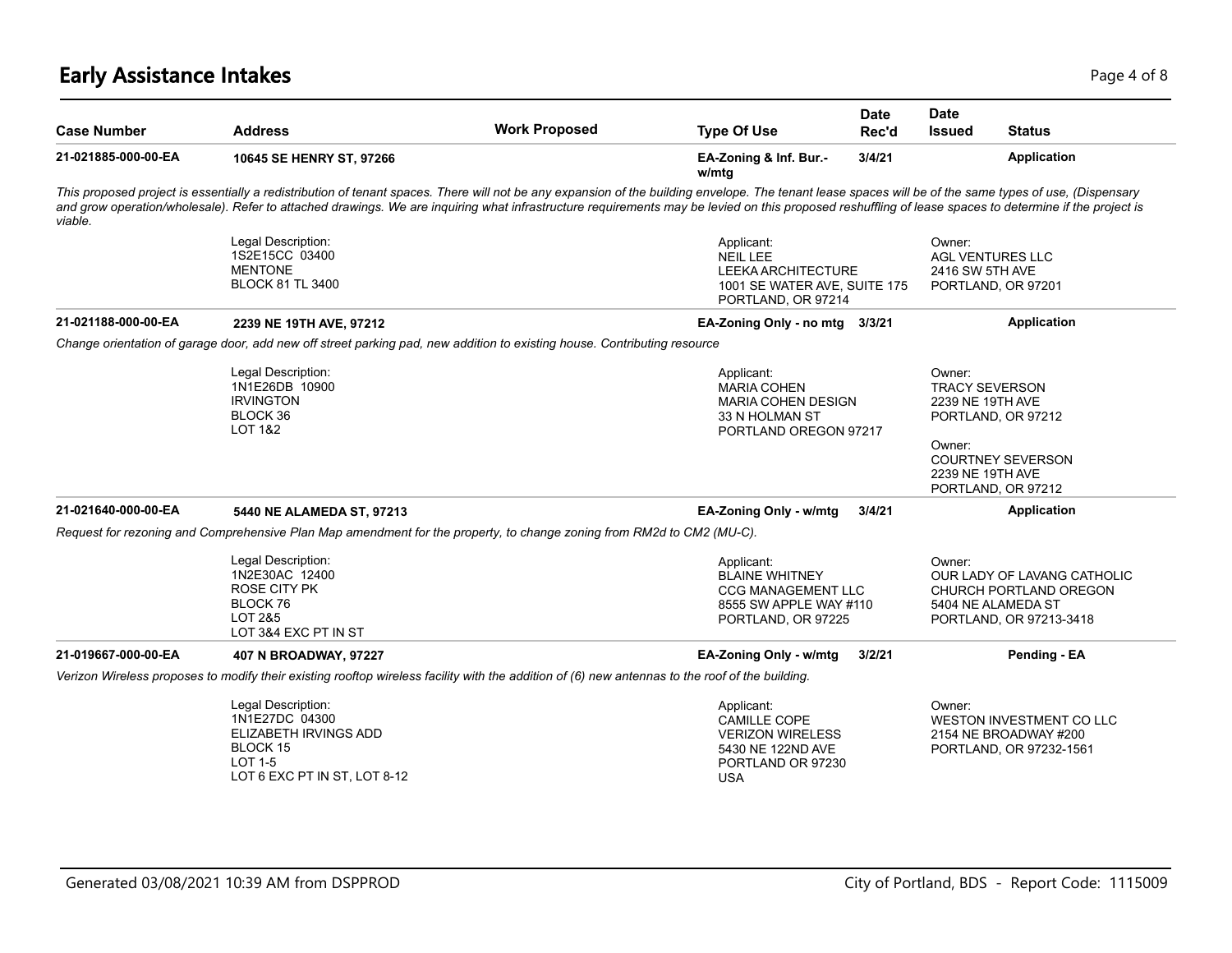# **Early Assistance Intakes** Page 4 of 8

| <b>Case Number</b>  | <b>Address</b>                                                                                                                                                                                                                                                                                                                                                                                                    | <b>Work Proposed</b> | <b>Type Of Use</b>                                                                                                   | Date<br>Rec'd | <b>Date</b><br><b>Issued</b>                                                      | <b>Status</b>                                                                                          |
|---------------------|-------------------------------------------------------------------------------------------------------------------------------------------------------------------------------------------------------------------------------------------------------------------------------------------------------------------------------------------------------------------------------------------------------------------|----------------------|----------------------------------------------------------------------------------------------------------------------|---------------|-----------------------------------------------------------------------------------|--------------------------------------------------------------------------------------------------------|
| 21-021885-000-00-EA | 10645 SE HENRY ST, 97266                                                                                                                                                                                                                                                                                                                                                                                          |                      | EA-Zoning & Inf. Bur.-<br>w/mtg                                                                                      | 3/4/21        |                                                                                   | Application                                                                                            |
| viable.             | This proposed project is essentially a redistribution of tenant spaces. There will not be any expansion of the building envelope. The tenant lease spaces will be of the same types of use, (Dispensary<br>and grow operation/wholesale). Refer to attached drawings. We are inquiring what infrastructure requirements may be levied on this proposed reshuffling of lease spaces to determine if the project is |                      |                                                                                                                      |               |                                                                                   |                                                                                                        |
|                     | Legal Description:<br>1S2E15CC 03400<br><b>MENTONE</b><br><b>BLOCK 81 TL 3400</b>                                                                                                                                                                                                                                                                                                                                 |                      | Applicant:<br><b>NEIL LEE</b><br>LEEKA ARCHITECTURE<br>1001 SE WATER AVE, SUITE 175<br>PORTLAND, OR 97214            |               | Owner:<br>2416 SW 5TH AVE                                                         | <b>AGL VENTURES LLC</b><br>PORTLAND, OR 97201                                                          |
| 21-021188-000-00-EA | 2239 NE 19TH AVE, 97212                                                                                                                                                                                                                                                                                                                                                                                           |                      | EA-Zoning Only - no mtg                                                                                              | 3/3/21        |                                                                                   | <b>Application</b>                                                                                     |
|                     | Change orientation of garage door, add new off street parking pad, new addition to existing house. Contributing resource                                                                                                                                                                                                                                                                                          |                      |                                                                                                                      |               |                                                                                   |                                                                                                        |
|                     | Legal Description:<br>1N1E26DB 10900<br><b>IRVINGTON</b><br>BLOCK 36<br>LOT 1&2                                                                                                                                                                                                                                                                                                                                   |                      | Applicant:<br><b>MARIA COHEN</b><br>MARIA COHEN DESIGN<br>33 N HOLMAN ST<br>PORTLAND OREGON 97217                    |               | Owner:<br><b>TRACY SEVERSON</b><br>2239 NE 19TH AVE<br>Owner:<br>2239 NE 19TH AVE | PORTLAND, OR 97212<br><b>COURTNEY SEVERSON</b><br>PORTLAND, OR 97212                                   |
| 21-021640-000-00-EA | 5440 NE ALAMEDA ST, 97213                                                                                                                                                                                                                                                                                                                                                                                         |                      | EA-Zoning Only - w/mtg                                                                                               | 3/4/21        |                                                                                   | Application                                                                                            |
|                     | Request for rezoning and Comprehensive Plan Map amendment for the property, to change zoning from RM2d to CM2 (MU-C).                                                                                                                                                                                                                                                                                             |                      |                                                                                                                      |               |                                                                                   |                                                                                                        |
|                     | Legal Description:<br>1N2E30AC 12400<br><b>ROSE CITY PK</b><br>BLOCK 76<br>LOT 2&5<br>LOT 3&4 EXC PT IN ST                                                                                                                                                                                                                                                                                                        |                      | Applicant:<br><b>BLAINE WHITNEY</b><br><b>CCG MANAGEMENT LLC</b><br>8555 SW APPLE WAY #110<br>PORTLAND, OR 97225     |               | Owner:                                                                            | OUR LADY OF LAVANG CATHOLIC<br>CHURCH PORTLAND OREGON<br>5404 NE ALAMEDA ST<br>PORTLAND, OR 97213-3418 |
| 21-019667-000-00-EA | 407 N BROADWAY, 97227                                                                                                                                                                                                                                                                                                                                                                                             |                      | EA-Zoning Only - w/mtg                                                                                               | 3/2/21        |                                                                                   | Pending - EA                                                                                           |
|                     | Verizon Wireless proposes to modify their existing rooftop wireless facility with the addition of (6) new antennas to the roof of the building.                                                                                                                                                                                                                                                                   |                      |                                                                                                                      |               |                                                                                   |                                                                                                        |
|                     | Legal Description:<br>1N1E27DC 04300<br>ELIZABETH IRVINGS ADD<br>BLOCK 15<br><b>LOT 1-5</b><br>LOT 6 EXC PT IN ST, LOT 8-12                                                                                                                                                                                                                                                                                       |                      | Applicant:<br><b>CAMILLE COPE</b><br><b>VERIZON WIRELESS</b><br>5430 NE 122ND AVE<br>PORTLAND OR 97230<br><b>USA</b> |               | Owner:                                                                            | WESTON INVESTMENT CO LLC<br>2154 NE BROADWAY #200<br>PORTLAND, OR 97232-1561                           |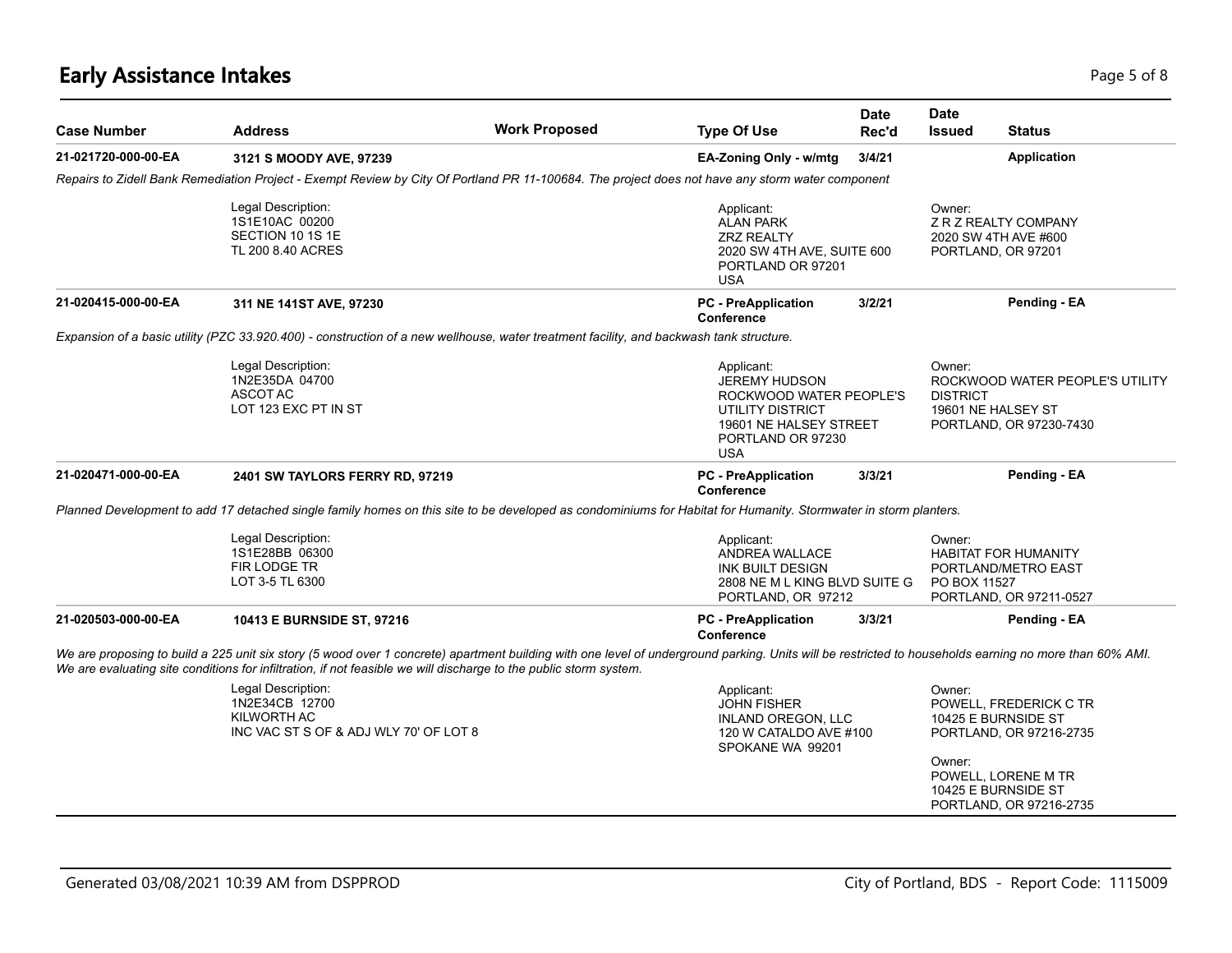# **Early Assistance Intakes** Page 1 of 8 and 2012 12:00 Page 1 of 8 and 2012 12:00 Page 1 of 8 and 2013 12:00 Page 5 of 8

| <b>Case Number</b>  | <b>Address</b>                                                                                                    | <b>Work Proposed</b>                                                                                                                                                                                   | <b>Type Of Use</b>                                                                                                                             | Date<br>Rec'd | <b>Date</b><br><b>Issued</b>                    | <b>Status</b>                                                                 |
|---------------------|-------------------------------------------------------------------------------------------------------------------|--------------------------------------------------------------------------------------------------------------------------------------------------------------------------------------------------------|------------------------------------------------------------------------------------------------------------------------------------------------|---------------|-------------------------------------------------|-------------------------------------------------------------------------------|
| 21-021720-000-00-EA | 3121 S MOODY AVE, 97239                                                                                           |                                                                                                                                                                                                        | EA-Zoning Only - w/mtg                                                                                                                         | 3/4/21        |                                                 | <b>Application</b>                                                            |
|                     |                                                                                                                   | Repairs to Zidell Bank Remediation Project - Exempt Review by City Of Portland PR 11-100684. The project does not have any storm water component                                                       |                                                                                                                                                |               |                                                 |                                                                               |
|                     | Legal Description:<br>1S1E10AC 00200<br>SECTION 10 1S 1E<br>TL 200 8.40 ACRES                                     |                                                                                                                                                                                                        | Applicant:<br><b>ALAN PARK</b><br><b>ZRZ REALTY</b><br>2020 SW 4TH AVE, SUITE 600<br>PORTLAND OR 97201<br><b>USA</b>                           |               | Owner:<br>PORTLAND, OR 97201                    | Z R Z REALTY COMPANY<br>2020 SW 4TH AVE #600                                  |
| 21-020415-000-00-EA | 311 NE 141ST AVE, 97230                                                                                           |                                                                                                                                                                                                        | <b>PC</b> - PreApplication<br>Conference                                                                                                       | 3/2/21        |                                                 | Pending - EA                                                                  |
|                     |                                                                                                                   | Expansion of a basic utility (PZC 33.920.400) - construction of a new wellhouse, water treatment facility, and backwash tank structure.                                                                |                                                                                                                                                |               |                                                 |                                                                               |
|                     | Legal Description:<br>1N2E35DA 04700<br>ASCOT AC<br>LOT 123 EXC PT IN ST                                          |                                                                                                                                                                                                        | Applicant:<br><b>JEREMY HUDSON</b><br>ROCKWOOD WATER PEOPLE'S<br>UTILITY DISTRICT<br>19601 NE HALSEY STREET<br>PORTLAND OR 97230<br><b>USA</b> |               | Owner:<br><b>DISTRICT</b><br>19601 NE HALSEY ST | ROCKWOOD WATER PEOPLE'S UTILITY<br>PORTLAND, OR 97230-7430                    |
| 21-020471-000-00-EA | 2401 SW TAYLORS FERRY RD, 97219                                                                                   |                                                                                                                                                                                                        | <b>PC</b> - PreApplication<br>Conference                                                                                                       | 3/3/21        |                                                 | Pending - EA                                                                  |
|                     |                                                                                                                   | Planned Development to add 17 detached single family homes on this site to be developed as condominiums for Habitat for Humanity. Stormwater in storm planters.                                        |                                                                                                                                                |               |                                                 |                                                                               |
|                     | Legal Description:<br>1S1E28BB 06300<br><b>FIR LODGE TR</b><br>LOT 3-5 TL 6300                                    |                                                                                                                                                                                                        | Applicant:<br><b>ANDREA WALLACE</b><br><b>INK BUILT DESIGN</b><br>2808 NE M L KING BLVD SUITE G<br>PORTLAND, OR 97212                          |               | Owner:<br>PO BOX 11527                          | <b>HABITAT FOR HUMANITY</b><br>PORTLAND/METRO EAST<br>PORTLAND, OR 97211-0527 |
| 21-020503-000-00-EA | 10413 E BURNSIDE ST, 97216                                                                                        |                                                                                                                                                                                                        | <b>PC</b> - PreApplication<br>Conference                                                                                                       | 3/3/21        |                                                 | Pending - EA                                                                  |
|                     | We are evaluating site conditions for infiltration, if not feasible we will discharge to the public storm system. | We are proposing to build a 225 unit six story (5 wood over 1 concrete) apartment building with one level of underground parking. Units will be restricted to households earning no more than 60% AMI. |                                                                                                                                                |               |                                                 |                                                                               |
|                     | Legal Description:<br>1N2E34CB 12700<br>KILWORTH AC<br>INC VAC ST S OF & ADJ WLY 70' OF LOT 8                     |                                                                                                                                                                                                        | Applicant:<br><b>JOHN FISHER</b><br><b>INLAND OREGON, LLC</b><br>120 W CATALDO AVE #100<br>SPOKANE WA 99201                                    |               | Owner:<br>10425 E BURNSIDE ST                   | POWELL, FREDERICK C TR<br>PORTLAND, OR 97216-2735                             |
|                     |                                                                                                                   |                                                                                                                                                                                                        |                                                                                                                                                |               | Owner:<br>10425 E BURNSIDE ST                   | POWELL, LORENE M TR<br>PORTLAND, OR 97216-2735                                |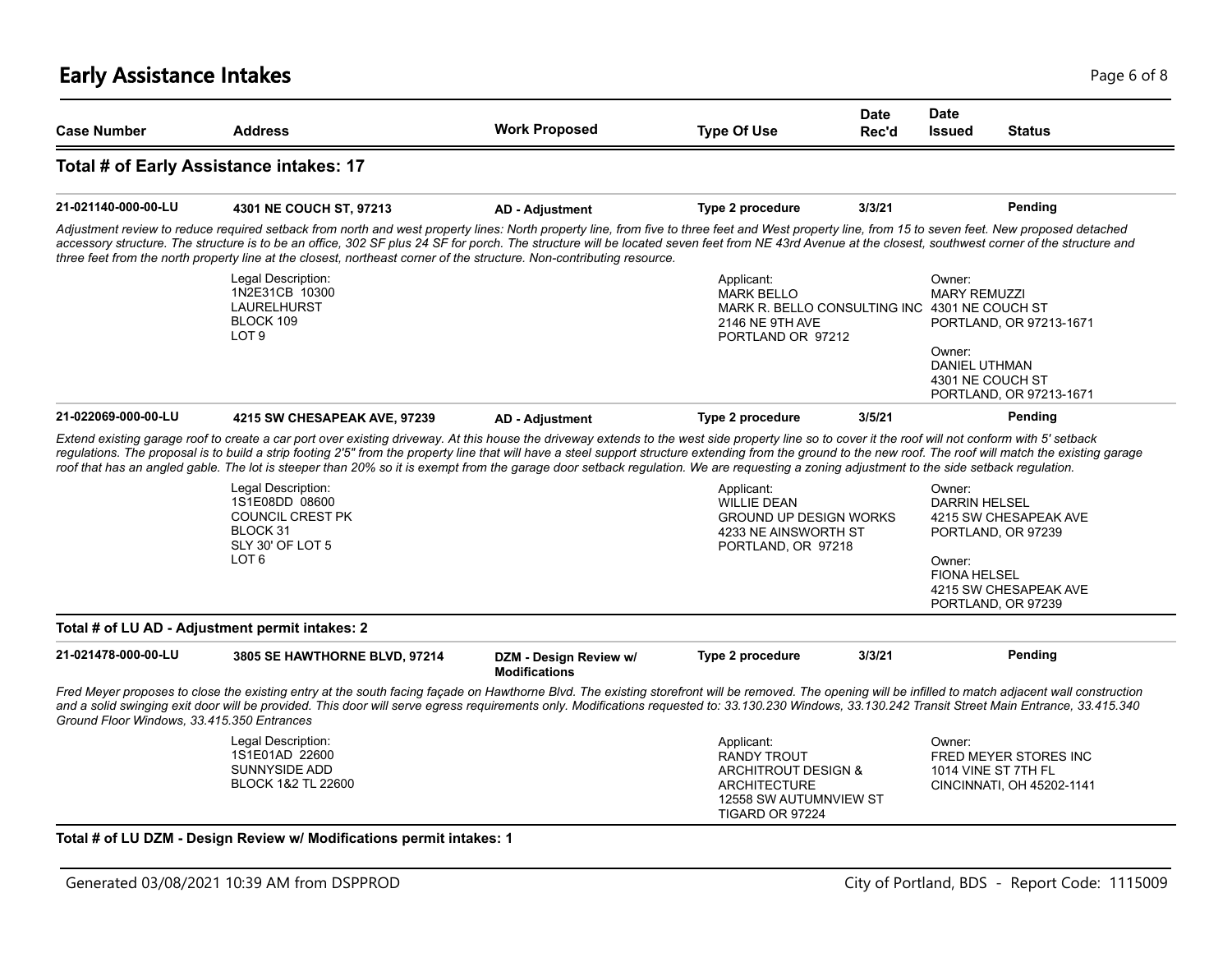# **Early Assistance Intakes** Page 6 of 8

| <b>Case Number</b>                                                                                                                                                                                            | <b>Address</b>                                                                                                                                                                                                                                                                                                                                                                                                                                                                                                                        | <b>Work Proposed</b>                           | <b>Type Of Use</b>                                                                                                       | <b>Date</b><br>Rec'd | <b>Date</b><br><b>Issued</b>                                    | <b>Status</b>                                                                              |
|---------------------------------------------------------------------------------------------------------------------------------------------------------------------------------------------------------------|---------------------------------------------------------------------------------------------------------------------------------------------------------------------------------------------------------------------------------------------------------------------------------------------------------------------------------------------------------------------------------------------------------------------------------------------------------------------------------------------------------------------------------------|------------------------------------------------|--------------------------------------------------------------------------------------------------------------------------|----------------------|-----------------------------------------------------------------|--------------------------------------------------------------------------------------------|
|                                                                                                                                                                                                               | Total # of Early Assistance intakes: 17                                                                                                                                                                                                                                                                                                                                                                                                                                                                                               |                                                |                                                                                                                          |                      |                                                                 |                                                                                            |
| 21-021140-000-00-LU                                                                                                                                                                                           | 4301 NE COUCH ST, 97213                                                                                                                                                                                                                                                                                                                                                                                                                                                                                                               | <b>AD - Adjustment</b>                         | Type 2 procedure                                                                                                         | 3/3/21               |                                                                 | Pending                                                                                    |
|                                                                                                                                                                                                               | Adjustment review to reduce required setback from north and west property lines: North property line, from five to three feet and West property line, from 15 to seven feet. New proposed detached<br>accessory structure. The structure is to be an office, 302 SF plus 24 SF for porch. The structure will be located seven feet from NE 43rd Avenue at the closest, southwest corner of the structure and<br>three feet from the north property line at the closest, northeast corner of the structure. Non-contributing resource. |                                                |                                                                                                                          |                      |                                                                 |                                                                                            |
|                                                                                                                                                                                                               | Legal Description:<br>1N2E31CB 10300<br>LAURELHURST<br>BLOCK 109<br>LOT <sub>9</sub>                                                                                                                                                                                                                                                                                                                                                                                                                                                  |                                                | Applicant:<br><b>MARK BELLO</b><br>MARK R. BELLO CONSULTING INC 4301 NE COUCH ST<br>2146 NE 9TH AVE<br>PORTLAND OR 97212 |                      | Owner:<br><b>MARY REMUZZI</b>                                   | PORTLAND, OR 97213-1671                                                                    |
|                                                                                                                                                                                                               |                                                                                                                                                                                                                                                                                                                                                                                                                                                                                                                                       |                                                |                                                                                                                          |                      | Owner:<br>DANIEL UTHMAN                                         | 4301 NE COUCH ST<br>PORTLAND, OR 97213-1671                                                |
| 21-022069-000-00-LU                                                                                                                                                                                           | 4215 SW CHESAPEAK AVE, 97239                                                                                                                                                                                                                                                                                                                                                                                                                                                                                                          | <b>AD - Adjustment</b>                         | Type 2 procedure                                                                                                         | 3/5/21               |                                                                 | Pending                                                                                    |
|                                                                                                                                                                                                               |                                                                                                                                                                                                                                                                                                                                                                                                                                                                                                                                       |                                                |                                                                                                                          |                      |                                                                 |                                                                                            |
|                                                                                                                                                                                                               | roof that has an angled gable. The lot is steeper than 20% so it is exempt from the garage door setback regulation. We are requesting a zoning adjustment to the side setback regulation.<br>Legal Description:<br>1S1E08DD 08600<br><b>COUNCIL CREST PK</b><br>BLOCK 31<br>SLY 30' OF LOT 5<br>LOT <sub>6</sub>                                                                                                                                                                                                                      |                                                | Applicant:<br><b>WILLIE DEAN</b><br><b>GROUND UP DESIGN WORKS</b><br>4233 NE AINSWORTH ST<br>PORTLAND, OR 97218          |                      | Owner:<br><b>DARRIN HELSEL</b><br>Owner:<br><b>FIONA HELSEL</b> | 4215 SW CHESAPEAK AVE<br>PORTLAND, OR 97239<br>4215 SW CHESAPEAK AVE<br>PORTLAND, OR 97239 |
| regulations. The proposal is to build a strip footing 2'5" from the property line that will have a steel support structure extending from the ground to the new roof. The roof will match the existing garage | Total # of LU AD - Adjustment permit intakes: 2                                                                                                                                                                                                                                                                                                                                                                                                                                                                                       |                                                |                                                                                                                          |                      |                                                                 |                                                                                            |
|                                                                                                                                                                                                               | 3805 SE HAWTHORNE BLVD, 97214                                                                                                                                                                                                                                                                                                                                                                                                                                                                                                         | DZM - Design Review w/<br><b>Modifications</b> | Type 2 procedure                                                                                                         | 3/3/21               |                                                                 | Pending                                                                                    |
| 21-021478-000-00-LU<br>Ground Floor Windows, 33.415.350 Entrances                                                                                                                                             | Fred Meyer proposes to close the existing entry at the south facing façade on Hawthorne Blvd. The existing storefront will be removed. The opening will be infilled to match adjacent wall construction<br>and a solid swinging exit door will be provided. This door will serve egress requirements only. Modifications requested to: 33.130.230 Windows, 33.130.242 Transit Street Main Entrance, 33.415.340                                                                                                                        |                                                |                                                                                                                          |                      |                                                                 |                                                                                            |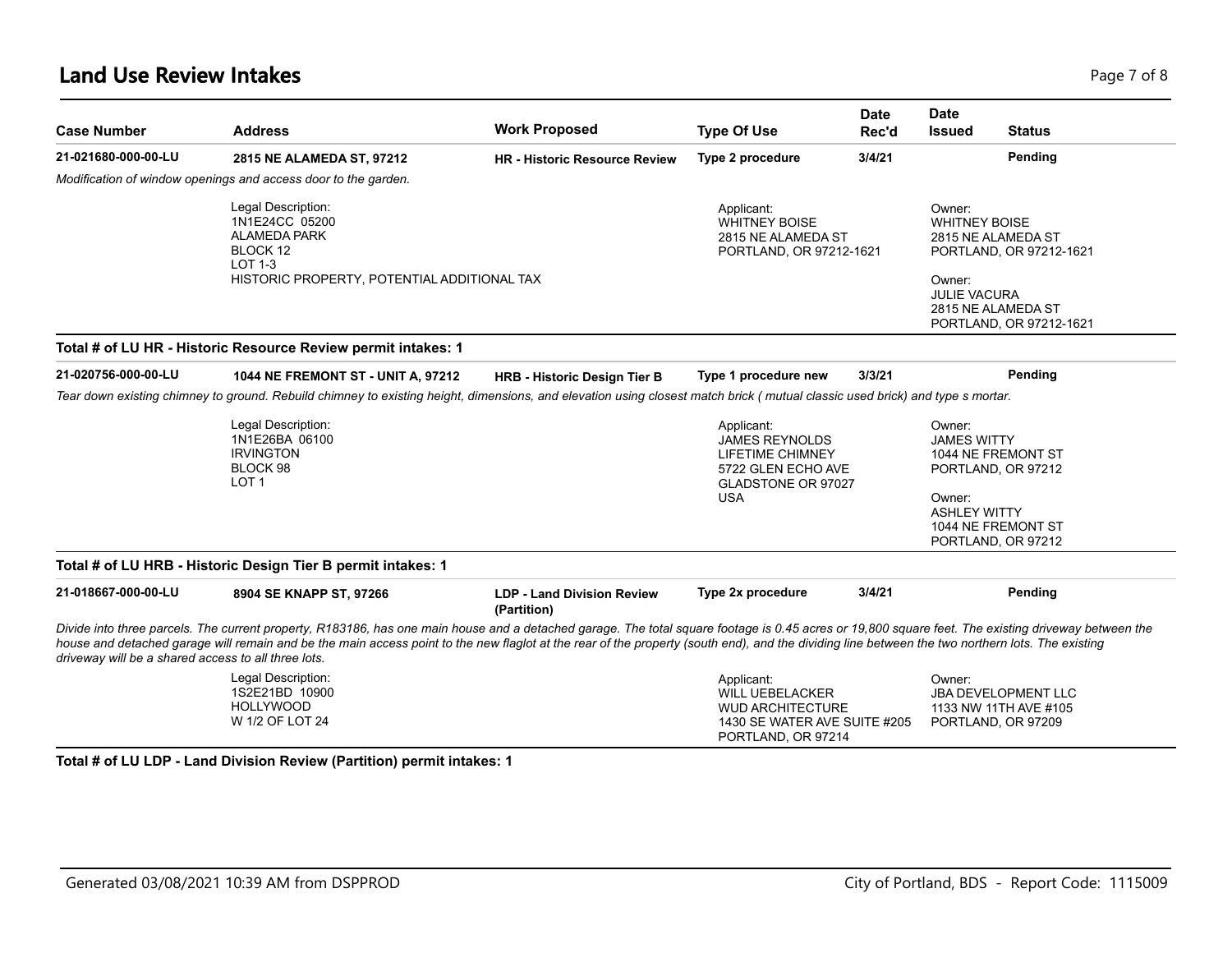### **Land Use Review Intakes** Page 7 of 8

| <b>Case Number</b>                                  | <b>Address</b>                                                                                                                                                                                                                                                                                                                                                                                          | <b>Work Proposed</b>                             | <b>Type Of Use</b>                                                                                                       | <b>Date</b><br>Rec'd | <b>Date</b><br>Issued                                           | <b>Status</b>                                                             |
|-----------------------------------------------------|---------------------------------------------------------------------------------------------------------------------------------------------------------------------------------------------------------------------------------------------------------------------------------------------------------------------------------------------------------------------------------------------------------|--------------------------------------------------|--------------------------------------------------------------------------------------------------------------------------|----------------------|-----------------------------------------------------------------|---------------------------------------------------------------------------|
| 21-021680-000-00-LU                                 | 2815 NE ALAMEDA ST, 97212                                                                                                                                                                                                                                                                                                                                                                               | <b>HR</b> - Historic Resource Review             | Type 2 procedure                                                                                                         | 3/4/21               |                                                                 | Pending                                                                   |
|                                                     | Modification of window openings and access door to the garden.                                                                                                                                                                                                                                                                                                                                          |                                                  |                                                                                                                          |                      |                                                                 |                                                                           |
|                                                     | Legal Description:<br>1N1E24CC 05200<br><b>ALAMEDA PARK</b><br>BLOCK 12<br><b>LOT 1-3</b><br>HISTORIC PROPERTY, POTENTIAL ADDITIONAL TAX                                                                                                                                                                                                                                                                |                                                  | Applicant:<br><b>WHITNEY BOISE</b><br>2815 NE ALAMEDA ST<br>PORTLAND, OR 97212-1621                                      |                      | Owner:<br><b>WHITNEY BOISE</b><br>Owner:<br><b>JULIE VACURA</b> | 2815 NE ALAMEDA ST<br>PORTLAND, OR 97212-1621<br>2815 NE ALAMEDA ST       |
|                                                     |                                                                                                                                                                                                                                                                                                                                                                                                         |                                                  |                                                                                                                          |                      |                                                                 | PORTLAND, OR 97212-1621                                                   |
|                                                     | Total # of LU HR - Historic Resource Review permit intakes: 1                                                                                                                                                                                                                                                                                                                                           |                                                  |                                                                                                                          |                      |                                                                 |                                                                           |
| 21-020756-000-00-LU                                 | 1044 NE FREMONT ST - UNIT A, 97212                                                                                                                                                                                                                                                                                                                                                                      | <b>HRB - Historic Design Tier B</b>              | Type 1 procedure new                                                                                                     | 3/3/21               |                                                                 | Pending                                                                   |
|                                                     | Tear down existing chimney to ground. Rebuild chimney to existing height, dimensions, and elevation using closest match brick (mutual classic used brick) and type s mortar.                                                                                                                                                                                                                            |                                                  |                                                                                                                          |                      |                                                                 |                                                                           |
|                                                     | Legal Description:<br>1N1E26BA 06100<br><b>IRVINGTON</b><br>BLOCK 98<br>LOT <sub>1</sub>                                                                                                                                                                                                                                                                                                                |                                                  | Applicant:<br><b>JAMES REYNOLDS</b><br><b>LIFETIME CHIMNEY</b><br>5722 GLEN ECHO AVE<br>GLADSTONE OR 97027<br><b>USA</b> |                      | Owner:<br><b>JAMES WITTY</b><br>Owner:                          | 1044 NE FREMONT ST<br>PORTLAND, OR 97212                                  |
|                                                     |                                                                                                                                                                                                                                                                                                                                                                                                         |                                                  |                                                                                                                          |                      | <b>ASHLEY WITTY</b>                                             | 1044 NE FREMONT ST                                                        |
|                                                     |                                                                                                                                                                                                                                                                                                                                                                                                         |                                                  |                                                                                                                          |                      |                                                                 | PORTLAND, OR 97212                                                        |
|                                                     | Total # of LU HRB - Historic Design Tier B permit intakes: 1                                                                                                                                                                                                                                                                                                                                            |                                                  |                                                                                                                          |                      |                                                                 |                                                                           |
| 21-018667-000-00-LU                                 | 8904 SE KNAPP ST, 97266                                                                                                                                                                                                                                                                                                                                                                                 | <b>LDP - Land Division Review</b><br>(Partition) | Type 2x procedure                                                                                                        | 3/4/21               |                                                                 | Pending                                                                   |
| driveway will be a shared access to all three lots. | Divide into three parcels. The current property, R183186, has one main house and a detached garage. The total square footage is 0.45 acres or 19,800 square feet. The existing driveway between the<br>house and detached garage will remain and be the main access point to the new flaglot at the rear of the property (south end), and the dividing line between the two northern lots. The existing |                                                  |                                                                                                                          |                      |                                                                 |                                                                           |
|                                                     | Legal Description:<br>1S2E21BD 10900<br><b>HOLLYWOOD</b><br>W 1/2 OF LOT 24                                                                                                                                                                                                                                                                                                                             |                                                  | Applicant:<br><b>WILL UEBELACKER</b><br><b>WUD ARCHITECTURE</b><br>1430 SE WATER AVE SUITE #205<br>PORTLAND, OR 97214    |                      | Owner:                                                          | <b>JBA DEVELOPMENT LLC</b><br>1133 NW 11TH AVE #105<br>PORTLAND, OR 97209 |

**Total # of LU LDP - Land Division Review (Partition) permit intakes: 1**